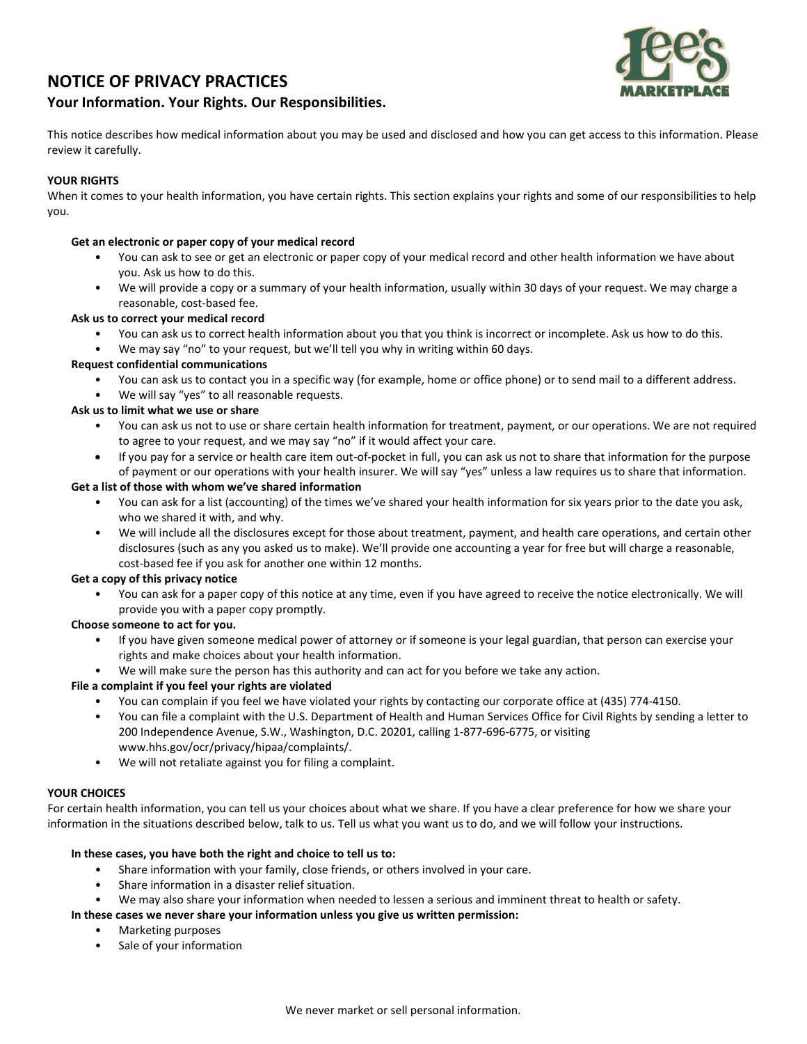# **NOTICE OF PRIVACY PRACTICES**



## **Your Information. Your Rights. Our Responsibilities.**

This notice describes how medical information about you may be used and disclosed and how you can get access to this information. Please review it carefully.

## **YOUR RIGHTS**

When it comes to your health information, you have certain rights. This section explains your rights and some of our responsibilities to help you.

#### **Get an electronic or paper copy of your medical record**

- You can ask to see or get an electronic or paper copy of your medical record and other health information we have about you. Ask us how to do this.
- We will provide a copy or a summary of your health information, usually within 30 days of your request. We may charge a reasonable, cost-based fee.

## **Ask us to correct your medical record**

- You can ask us to correct health information about you that you think is incorrect or incomplete. Ask us how to do this.
- We may say "no" to your request, but we'll tell you why in writing within 60 days.

## **Request confidential communications**

- You can ask us to contact you in a specific way (for example, home or office phone) or to send mail to a different address.
- We will say "yes" to all reasonable requests.

## **Ask us to limit what we use or share**

- You can ask us not to use or share certain health information for treatment, payment, or our operations. We are not required to agree to your request, and we may say "no" if it would affect your care.
- If you pay for a service or health care item out-of-pocket in full, you can ask us not to share that information for the purpose of payment or our operations with your health insurer. We will say "yes" unless a law requires us to share that information.

#### **Get a list of those with whom we've shared information**

- You can ask for a list (accounting) of the times we've shared your health information for six years prior to the date you ask, who we shared it with, and why.
- We will include all the disclosures except for those about treatment, payment, and health care operations, and certain other disclosures (such as any you asked us to make). We'll provide one accounting a year for free but will charge a reasonable, cost-based fee if you ask for another one within 12 months.

#### **Get a copy of this privacy notice**

• You can ask for a paper copy of this notice at any time, even if you have agreed to receive the notice electronically. We will provide you with a paper copy promptly.

#### **Choose someone to act for you.**

- If you have given someone medical power of attorney or if someone is your legal guardian, that person can exercise your rights and make choices about your health information.
- We will make sure the person has this authority and can act for you before we take any action.

#### **File a complaint if you feel your rights are violated**

- You can complain if you feel we have violated your rights by contacting our corporate office at (435) 774-4150.
- You can file a complaint with the U.S. Department of Health and Human Services Office for Civil Rights by sending a letter to 200 Independence Avenue, S.W., Washington, D.C. 20201, calling 1-877-696-6775, or visiting www.hhs.gov/ocr/privacy/hipaa/complaints/.
- We will not retaliate against you for filing a complaint.

#### **YOUR CHOICES**

For certain health information, you can tell us your choices about what we share. If you have a clear preference for how we share your information in the situations described below, talk to us. Tell us what you want us to do, and we will follow your instructions.

#### **In these cases, you have both the right and choice to tell us to:**

- Share information with your family, close friends, or others involved in your care.
- Share information in a disaster relief situation.
- We may also share your information when needed to lessen a serious and imminent threat to health or safety.
- **In these cases we never share your information unless you give us written permission:**
	- Marketing purposes
	- Sale of your information